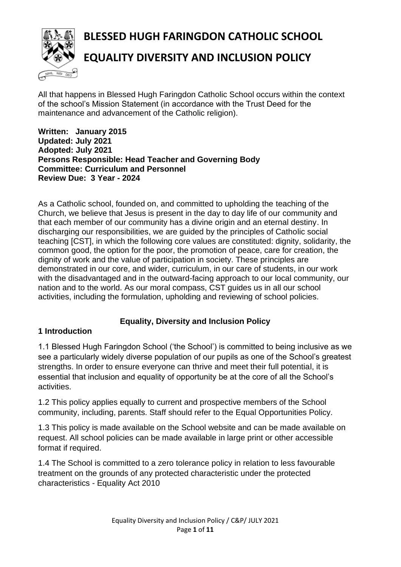

# **BLESSED HUGH FARINGDON CATHOLIC SCHOOL**

## **EQUALITY DIVERSITY AND INCLUSION POLICY**

All that happens in Blessed Hugh Faringdon Catholic School occurs within the context of the school's Mission Statement (in accordance with the Trust Deed for the maintenance and advancement of the Catholic religion).

**Written: January 2015 Updated: July 2021 Adopted: July 2021 Persons Responsible: Head Teacher and Governing Body Committee: Curriculum and Personnel Review Due: 3 Year - 2024**

As a Catholic school, founded on, and committed to upholding the teaching of the Church, we believe that Jesus is present in the day to day life of our community and that each member of our community has a divine origin and an eternal destiny. In discharging our responsibilities, we are guided by the principles of Catholic social teaching [CST], in which the following core values are constituted: dignity, solidarity, the common good, the option for the poor, the promotion of peace, care for creation, the dignity of work and the value of participation in society. These principles are demonstrated in our core, and wider, curriculum, in our care of students, in our work with the disadvantaged and in the outward-facing approach to our local community, our nation and to the world. As our moral compass, CST guides us in all our school activities, including the formulation, upholding and reviewing of school policies.

## **Equality, Diversity and Inclusion Policy**

## **1 Introduction**

1.1 Blessed Hugh Faringdon School ('the School') is committed to being inclusive as we see a particularly widely diverse population of our pupils as one of the School's greatest strengths. In order to ensure everyone can thrive and meet their full potential, it is essential that inclusion and equality of opportunity be at the core of all the School's activities.

1.2 This policy applies equally to current and prospective members of the School community, including, parents. Staff should refer to the Equal Opportunities Policy.

1.3 This policy is made available on the School website and can be made available on request. All school policies can be made available in large print or other accessible format if required.

1.4 The School is committed to a zero tolerance policy in relation to less favourable treatment on the grounds of any protected characteristic under the protected characteristics - Equality Act 2010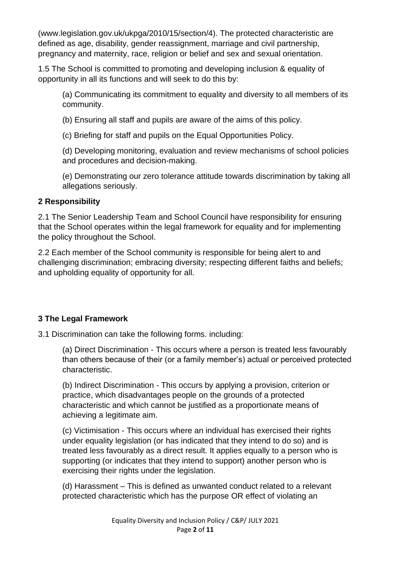(www.legislation.gov.uk/ukpga/2010/15/section/4). The protected characteristic are defined as age, disability, gender reassignment, marriage and civil partnership, pregnancy and maternity, race, religion or belief and sex and sexual orientation.

1.5 The School is committed to promoting and developing inclusion & equality of opportunity in all its functions and will seek to do this by:

(a) Communicating its commitment to equality and diversity to all members of its community.

(b) Ensuring all staff and pupils are aware of the aims of this policy.

(c) Briefing for staff and pupils on the Equal Opportunities Policy.

(d) Developing monitoring, evaluation and review mechanisms of school policies and procedures and decision-making.

(e) Demonstrating our zero tolerance attitude towards discrimination by taking all allegations seriously.

## **2 Responsibility**

2.1 The Senior Leadership Team and School Council have responsibility for ensuring that the School operates within the legal framework for equality and for implementing the policy throughout the School.

2.2 Each member of the School community is responsible for being alert to and challenging discrimination; embracing diversity; respecting different faiths and beliefs; and upholding equality of opportunity for all.

## **3 The Legal Framework**

3.1 Discrimination can take the following forms. including:

(a) Direct Discrimination - This occurs where a person is treated less favourably than others because of their (or a family member's) actual or perceived protected characteristic.

(b) Indirect Discrimination - This occurs by applying a provision, criterion or practice, which disadvantages people on the grounds of a protected characteristic and which cannot be justified as a proportionate means of achieving a legitimate aim.

(c) Victimisation - This occurs where an individual has exercised their rights under equality legislation (or has indicated that they intend to do so) and is treated less favourably as a direct result. It applies equally to a person who is supporting (or indicates that they intend to support) another person who is exercising their rights under the legislation.

(d) Harassment – This is defined as unwanted conduct related to a relevant protected characteristic which has the purpose OR effect of violating an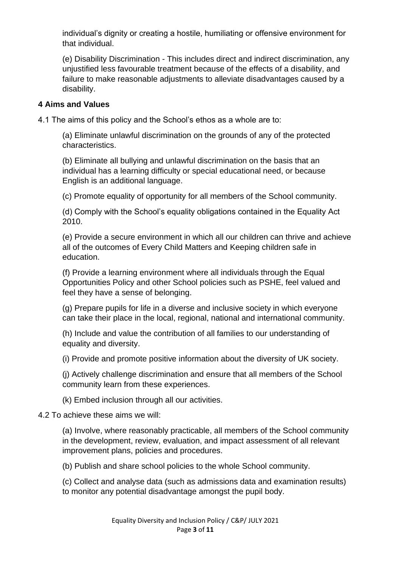individual's dignity or creating a hostile, humiliating or offensive environment for that individual.

(e) Disability Discrimination - This includes direct and indirect discrimination, any unjustified less favourable treatment because of the effects of a disability, and failure to make reasonable adjustments to alleviate disadvantages caused by a disability.

#### **4 Aims and Values**

4.1 The aims of this policy and the School's ethos as a whole are to:

(a) Eliminate unlawful discrimination on the grounds of any of the protected characteristics.

(b) Eliminate all bullying and unlawful discrimination on the basis that an individual has a learning difficulty or special educational need, or because English is an additional language.

(c) Promote equality of opportunity for all members of the School community.

(d) Comply with the School's equality obligations contained in the Equality Act 2010.

(e) Provide a secure environment in which all our children can thrive and achieve all of the outcomes of Every Child Matters and Keeping children safe in education.

(f) Provide a learning environment where all individuals through the Equal Opportunities Policy and other School policies such as PSHE, feel valued and feel they have a sense of belonging.

(g) Prepare pupils for life in a diverse and inclusive society in which everyone can take their place in the local, regional, national and international community.

(h) Include and value the contribution of all families to our understanding of equality and diversity.

(i) Provide and promote positive information about the diversity of UK society.

(j) Actively challenge discrimination and ensure that all members of the School community learn from these experiences.

(k) Embed inclusion through all our activities.

4.2 To achieve these aims we will:

(a) Involve, where reasonably practicable, all members of the School community in the development, review, evaluation, and impact assessment of all relevant improvement plans, policies and procedures.

(b) Publish and share school policies to the whole School community.

(c) Collect and analyse data (such as admissions data and examination results) to monitor any potential disadvantage amongst the pupil body.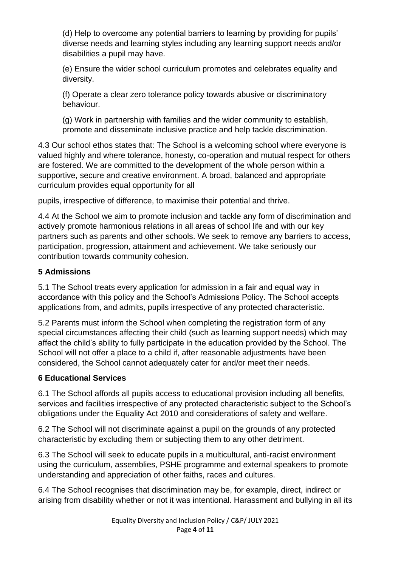(d) Help to overcome any potential barriers to learning by providing for pupils' diverse needs and learning styles including any learning support needs and/or disabilities a pupil may have.

(e) Ensure the wider school curriculum promotes and celebrates equality and diversity.

(f) Operate a clear zero tolerance policy towards abusive or discriminatory behaviour.

(g) Work in partnership with families and the wider community to establish, promote and disseminate inclusive practice and help tackle discrimination.

4.3 Our school ethos states that: The School is a welcoming school where everyone is valued highly and where tolerance, honesty, co-operation and mutual respect for others are fostered. We are committed to the development of the whole person within a supportive, secure and creative environment. A broad, balanced and appropriate curriculum provides equal opportunity for all

pupils, irrespective of difference, to maximise their potential and thrive.

4.4 At the School we aim to promote inclusion and tackle any form of discrimination and actively promote harmonious relations in all areas of school life and with our key partners such as parents and other schools. We seek to remove any barriers to access, participation, progression, attainment and achievement. We take seriously our contribution towards community cohesion.

## **5 Admissions**

5.1 The School treats every application for admission in a fair and equal way in accordance with this policy and the School's Admissions Policy. The School accepts applications from, and admits, pupils irrespective of any protected characteristic.

5.2 Parents must inform the School when completing the registration form of any special circumstances affecting their child (such as learning support needs) which may affect the child's ability to fully participate in the education provided by the School. The School will not offer a place to a child if, after reasonable adjustments have been considered, the School cannot adequately cater for and/or meet their needs.

## **6 Educational Services**

6.1 The School affords all pupils access to educational provision including all benefits, services and facilities irrespective of any protected characteristic subject to the School's obligations under the Equality Act 2010 and considerations of safety and welfare.

6.2 The School will not discriminate against a pupil on the grounds of any protected characteristic by excluding them or subjecting them to any other detriment.

6.3 The School will seek to educate pupils in a multicultural, anti-racist environment using the curriculum, assemblies, PSHE programme and external speakers to promote understanding and appreciation of other faiths, races and cultures.

6.4 The School recognises that discrimination may be, for example, direct, indirect or arising from disability whether or not it was intentional. Harassment and bullying in all its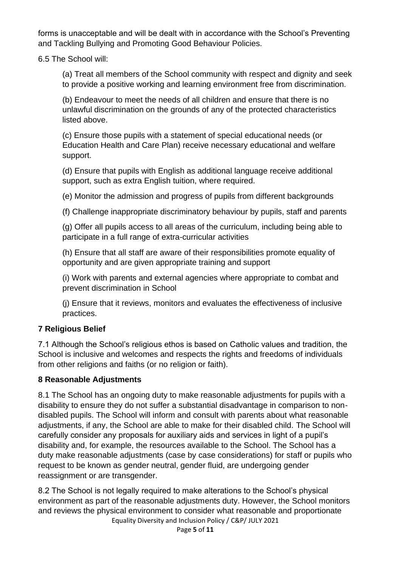forms is unacceptable and will be dealt with in accordance with the School's Preventing and Tackling Bullying and Promoting Good Behaviour Policies.

6.5 The School will:

(a) Treat all members of the School community with respect and dignity and seek to provide a positive working and learning environment free from discrimination.

(b) Endeavour to meet the needs of all children and ensure that there is no unlawful discrimination on the grounds of any of the protected characteristics listed above.

(c) Ensure those pupils with a statement of special educational needs (or Education Health and Care Plan) receive necessary educational and welfare support.

(d) Ensure that pupils with English as additional language receive additional support, such as extra English tuition, where required.

(e) Monitor the admission and progress of pupils from different backgrounds

(f) Challenge inappropriate discriminatory behaviour by pupils, staff and parents

(g) Offer all pupils access to all areas of the curriculum, including being able to participate in a full range of extra-curricular activities

(h) Ensure that all staff are aware of their responsibilities promote equality of opportunity and are given appropriate training and support

(i) Work with parents and external agencies where appropriate to combat and prevent discrimination in School

(j) Ensure that it reviews, monitors and evaluates the effectiveness of inclusive practices.

## **7 Religious Belief**

7.1 Although the School's religious ethos is based on Catholic values and tradition, the School is inclusive and welcomes and respects the rights and freedoms of individuals from other religions and faiths (or no religion or faith).

#### **8 Reasonable Adjustments**

8.1 The School has an ongoing duty to make reasonable adjustments for pupils with a disability to ensure they do not suffer a substantial disadvantage in comparison to nondisabled pupils. The School will inform and consult with parents about what reasonable adjustments, if any, the School are able to make for their disabled child. The School will carefully consider any proposals for auxiliary aids and services in light of a pupil's disability and, for example, the resources available to the School. The School has a duty make reasonable adjustments (case by case considerations) for staff or pupils who request to be known as gender neutral, gender fluid, are undergoing gender reassignment or are transgender.

Equality Diversity and Inclusion Policy / C&P/ JULY 2021 8.2 The School is not legally required to make alterations to the School's physical environment as part of the reasonable adjustments duty. However, the School monitors and reviews the physical environment to consider what reasonable and proportionate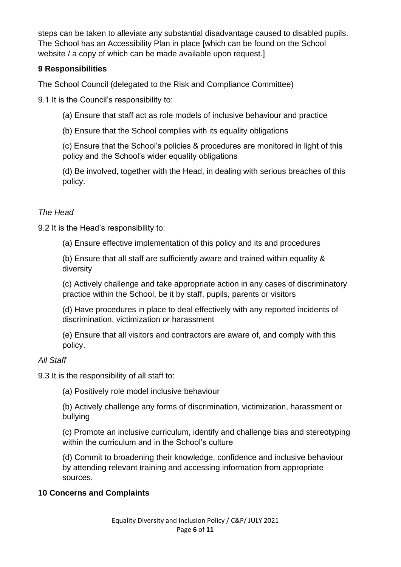steps can be taken to alleviate any substantial disadvantage caused to disabled pupils. The School has an Accessibility Plan in place [which can be found on the School website / a copy of which can be made available upon request.]

## **9 Responsibilities**

The School Council (delegated to the Risk and Compliance Committee)

9.1 It is the Council's responsibility to:

(a) Ensure that staff act as role models of inclusive behaviour and practice

(b) Ensure that the School complies with its equality obligations

(c) Ensure that the School's policies & procedures are monitored in light of this policy and the School's wider equality obligations

(d) Be involved, together with the Head, in dealing with serious breaches of this policy.

## *The Head*

9.2 It is the Head's responsibility to:

(a) Ensure effective implementation of this policy and its and procedures

(b) Ensure that all staff are sufficiently aware and trained within equality & diversity

(c) Actively challenge and take appropriate action in any cases of discriminatory practice within the School, be it by staff, pupils, parents or visitors

(d) Have procedures in place to deal effectively with any reported incidents of discrimination, victimization or harassment

(e) Ensure that all visitors and contractors are aware of, and comply with this policy.

#### *All Staff*

9.3 It is the responsibility of all staff to:

(a) Positively role model inclusive behaviour

(b) Actively challenge any forms of discrimination, victimization, harassment or bullying

(c) Promote an inclusive curriculum, identify and challenge bias and stereotyping within the curriculum and in the School's culture

(d) Commit to broadening their knowledge, confidence and inclusive behaviour by attending relevant training and accessing information from appropriate sources.

## **10 Concerns and Complaints**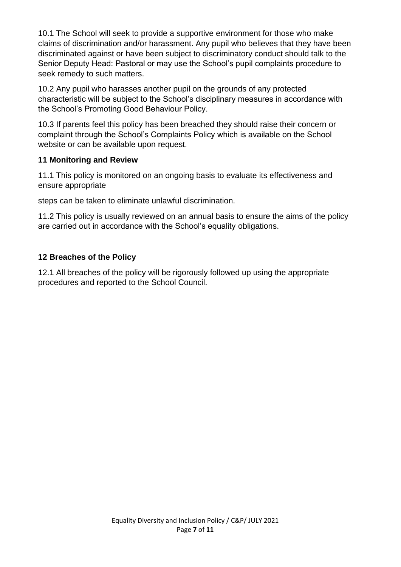10.1 The School will seek to provide a supportive environment for those who make claims of discrimination and/or harassment. Any pupil who believes that they have been discriminated against or have been subject to discriminatory conduct should talk to the Senior Deputy Head: Pastoral or may use the School's pupil complaints procedure to seek remedy to such matters.

10.2 Any pupil who harasses another pupil on the grounds of any protected characteristic will be subject to the School's disciplinary measures in accordance with the School's Promoting Good Behaviour Policy.

10.3 If parents feel this policy has been breached they should raise their concern or complaint through the School's Complaints Policy which is available on the School website or can be available upon request.

#### **11 Monitoring and Review**

11.1 This policy is monitored on an ongoing basis to evaluate its effectiveness and ensure appropriate

steps can be taken to eliminate unlawful discrimination.

11.2 This policy is usually reviewed on an annual basis to ensure the aims of the policy are carried out in accordance with the School's equality obligations.

## **12 Breaches of the Policy**

12.1 All breaches of the policy will be rigorously followed up using the appropriate procedures and reported to the School Council.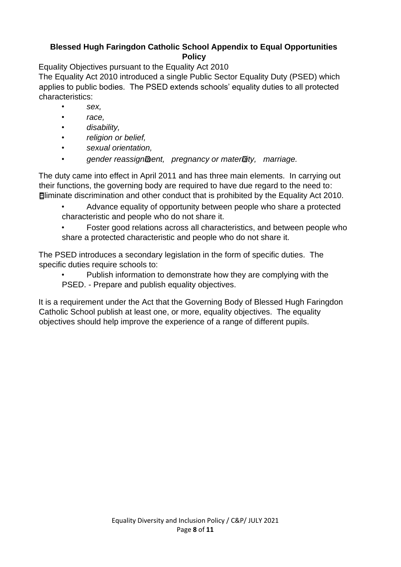## **Blessed Hugh Faringdon Catholic School Appendix to Equal Opportunities Policy**

Equality Objectives pursuant to the Equality Act 2010

The Equality Act 2010 introduced a single Public Sector Equality Duty (PSED) which applies to public bodies. The PSED extends schools' equality duties to all protected characteristics:

- *sex,*
- *race,*
- *disability,*
- *religion or belief,*
- *sexual orientation,*
- *gender reassignment, pregnancy or maternity, marriage.*

The duty came into effect in April 2011 and has three main elements. In carrying out their functions, the governing body are required to have due regard to the need to: Eliminate discrimination and other conduct that is prohibited by the Equality Act 2010.

• Advance equality of opportunity between people who share a protected characteristic and people who do not share it.

• Foster good relations across all characteristics, and between people who share a protected characteristic and people who do not share it.

The PSED introduces a secondary legislation in the form of specific duties. The specific duties require schools to:

• Publish information to demonstrate how they are complying with the PSED. - Prepare and publish equality objectives.

It is a requirement under the Act that the Governing Body of Blessed Hugh Faringdon Catholic School publish at least one, or more, equality objectives. The equality objectives should help improve the experience of a range of different pupils.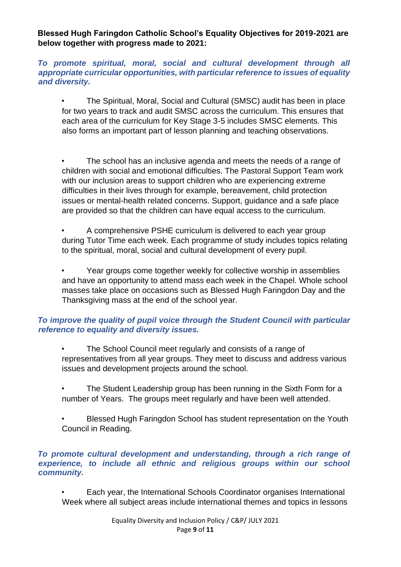**Blessed Hugh Faringdon Catholic School's Equality Objectives for 2019-2021 are below together with progress made to 2021:** 

*To promote spiritual, moral, social and cultural development through all appropriate curricular opportunities, with particular reference to issues of equality and diversity.*

• The Spiritual, Moral, Social and Cultural (SMSC) audit has been in place for two years to track and audit SMSC across the curriculum. This ensures that each area of the curriculum for Key Stage 3-5 includes SMSC elements. This also forms an important part of lesson planning and teaching observations.

The school has an inclusive agenda and meets the needs of a range of children with social and emotional difficulties. The Pastoral Support Team work with our inclusion areas to support children who are experiencing extreme difficulties in their lives through for example, bereavement, child protection issues or mental-health related concerns. Support, guidance and a safe place are provided so that the children can have equal access to the curriculum.

• A comprehensive PSHE curriculum is delivered to each year group during Tutor Time each week. Each programme of study includes topics relating to the spiritual, moral, social and cultural development of every pupil.

• Year groups come together weekly for collective worship in assemblies and have an opportunity to attend mass each week in the Chapel. Whole school masses take place on occasions such as Blessed Hugh Faringdon Day and the Thanksgiving mass at the end of the school year.

#### *To improve the quality of pupil voice through the Student Council with particular reference to equality and diversity issues.*

• The School Council meet regularly and consists of a range of representatives from all year groups. They meet to discuss and address various issues and development projects around the school.

The Student Leadership group has been running in the Sixth Form for a number of Years. The groups meet regularly and have been well attended.

• Blessed Hugh Faringdon School has student representation on the Youth Council in Reading.

#### *To promote cultural development and understanding, through a rich range of*  experience, to include all ethnic and religious groups within our school *community.*

• Each year, the International Schools Coordinator organises International Week where all subject areas include international themes and topics in lessons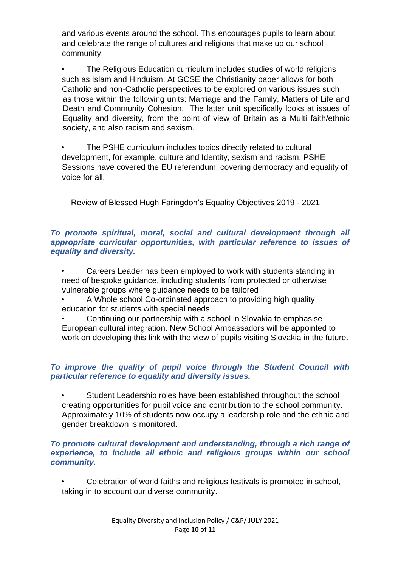and various events around the school. This encourages pupils to learn about and celebrate the range of cultures and religions that make up our school community.

• The Religious Education curriculum includes studies of world religions such as Islam and Hinduism. At GCSE the Christianity paper allows for both Catholic and non-Catholic perspectives to be explored on various issues such as those within the following units: Marriage and the Family, Matters of Life and Death and Community Cohesion. The latter unit specifically looks at issues of Equality and diversity, from the point of view of Britain as a Multi faith/ethnic society, and also racism and sexism.

The PSHE curriculum includes topics directly related to cultural development, for example, culture and Identity, sexism and racism. PSHE Sessions have covered the EU referendum, covering democracy and equality of voice for all.

Review of Blessed Hugh Faringdon's Equality Objectives 2019 - 2021

*To promote spiritual, moral, social and cultural development through all appropriate curricular opportunities, with particular reference to issues of equality and diversity.*

- Careers Leader has been employed to work with students standing in need of bespoke guidance, including students from protected or otherwise vulnerable groups where guidance needs to be tailored
- A Whole school Co-ordinated approach to providing high quality education for students with special needs.
- Continuing our partnership with a school in Slovakia to emphasise European cultural integration. New School Ambassadors will be appointed to work on developing this link with the view of pupils visiting Slovakia in the future.

#### *To improve the quality of pupil voice through the Student Council with particular reference to equality and diversity issues.*

Student Leadership roles have been established throughout the school creating opportunities for pupil voice and contribution to the school community. Approximately 10% of students now occupy a leadership role and the ethnic and gender breakdown is monitored.

#### *To promote cultural development and understanding, through a rich range of experience, to include all ethnic and religious groups within our school community.*

• Celebration of world faiths and religious festivals is promoted in school, taking in to account our diverse community.